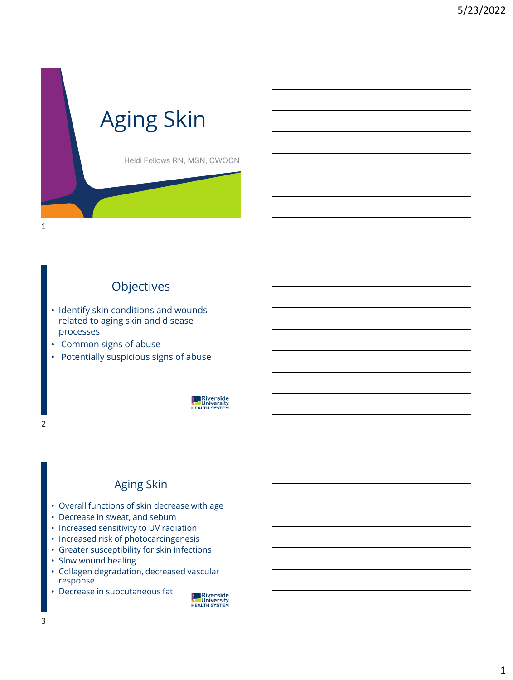

#### **Objectives**

- Identify skin conditions and wounds related to aging skin and disease processes
- Common signs of abuse
- Potentially suspicious signs of abuse



#### Aging Skin

- Overall functions of skin decrease with age
- Decrease in sweat, and sebum
- Increased sensitivity to UV radiation
- Increased risk of photocarcingenesis
- Greater susceptibility for skin infections
- Slow wound healing
- Collagen degradation, decreased vascular response
- Decrease in subcutaneous fat



2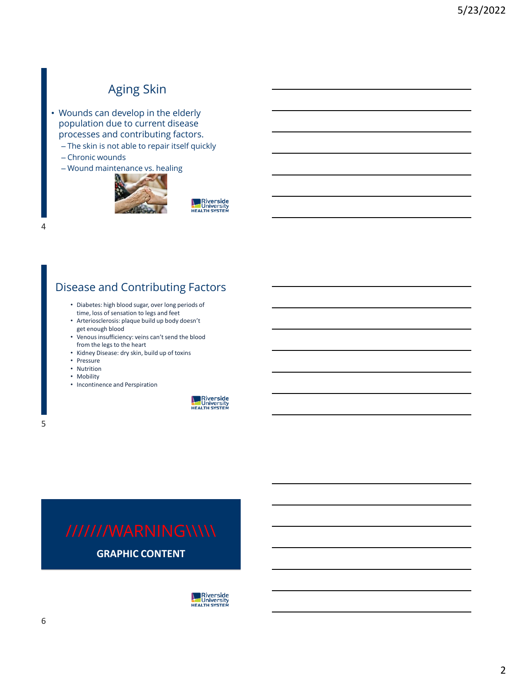#### Aging Skin

- Wounds can develop in the elderly population due to current disease processes and contributing factors.
	- The skin is not able to repair itself quickly
	- Chronic wounds
	- Wound maintenance vs. healing



**New Riverside**<br>University<br>HEALTH SYSTEM

#### Disease and Contributing Factors

- Diabetes: high blood sugar, over long periods of time, loss of sensation to legs and feet
- Arteriosclerosis: plaque build up body doesn't get enough blood
- Venous insufficiency: veins can't send the blood from the legs to the heart
- Kidney Disease: dry skin, build up of toxins
- Pressure
- Nutrition
- Mobility
- Incontinence and Perspiration

**New Riverside**<br> **NEALTH SYSTEM** 

5

 $\Delta$ 

**GRAPHIC CONTENT** 

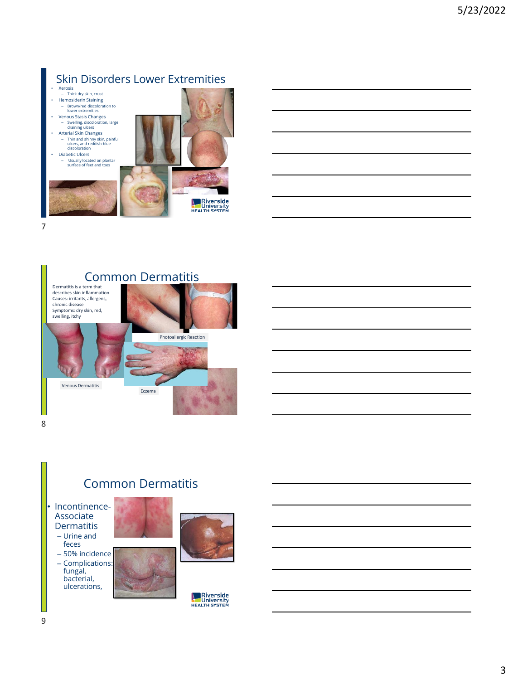### Skin Disorders Lower Extremities

• Xerosis – Thick dry skin, crust • Hemosiderin Staining – Brown/red discoloration to lower extremities • Venous Stasis Changes – Swelling, discoloration, large draining ulcers • Arterial Skin Changes – Thin and shinny skin, painful ulcers, and reddish-blue discoloration • Diabetic Ulcers – Usually located on plantar surface of feet and toes **A**<br> **Riverside**<br> **REALTH SYSTEM** 7



8

#### Common Dermatitis

- Incontinence-Associate **Dermatitis** 
	- Urine and feces
	- 50% incidence – Complications:
	- fungal, bacterial, ulcerations,





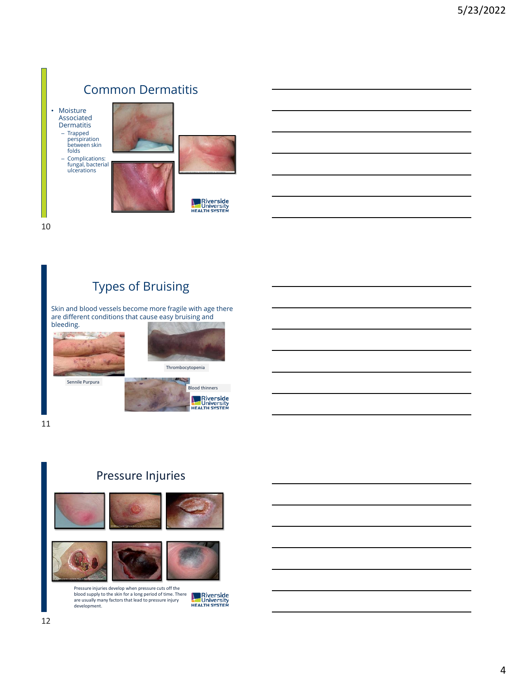

10

### Types of Bruising

Skin and blood vessels become more fragile with age there are different conditions that cause easy bruising and bleeding.



11

#### Pressure Injuries



Pressure injuries develop when pressure cuts off the blood supply to the skin for a long period of time. There are usually many factors that lead to pressure injury development.

**Riverside**<br>University<br>HEALTH SYSTEM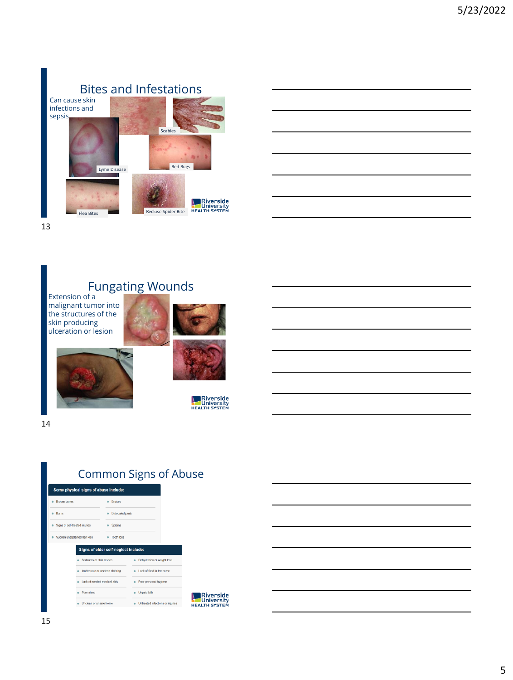

13

#### Fungating Wounds

Extension of a malignant tumor into the structures of the skin producing ulceration or lesion





**Riverside**<br>University<br>HEALTH SYSTEM

14



ate or unclean clothing

. Lack of needed medical aids

· Unclean or unsafe home

· Poor sleep

### Common Signs of Abuse

. Lack of food in the home

· Untreated infections or injuries

e Poor personal hygiene

· Unpaid bills

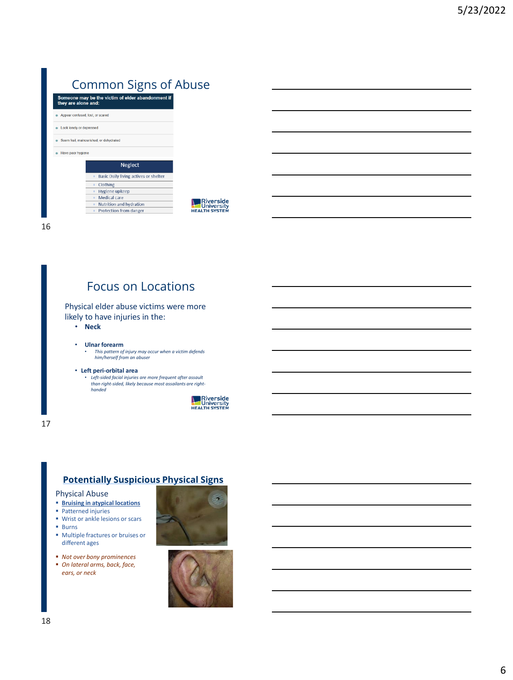## Common Signs of Abuse

| Someone may be the victim of elder abandonment if<br>they are alone and: |
|--------------------------------------------------------------------------|
| Appear confused, lost, or scared                                         |
| Look lonely or depressed                                                 |
| Seem frail, malnourished, or dehydrated                                  |
| Have poor hygiene                                                        |
| <b>Neglect</b>                                                           |
| Basic Daily living actives or shelter                                    |
| Clothing<br>۰                                                            |
| Hygiene upkeep<br>٠                                                      |
|                                                                          |
| Medical care<br>٠                                                        |
| Nutrition and hydration<br>۰                                             |
|                                                                          |

16

#### Focus on Locations

Physical elder abuse victims were more likely to have injuries in the:

• **Neck**

#### • **Ulnar forearm**

• *This pattern of injury may occur when a victim defends him/herself from an abuser*

#### • **Left peri-orbital area**

• *Left-sided facial injuries are more frequent after assault than right-sided, likely because most assailants are righthanded*



17

#### **Potentially Suspicious Physical Signs**

Physical Abuse

- **Bruising in atypical locations**
- Patterned injuries
- Wrist or ankle lesions or scars
- Burns
- Multiple fractures or bruises or different ages
- *Not over bony prominences*
- *On lateral arms, back, face, ears, or neck*



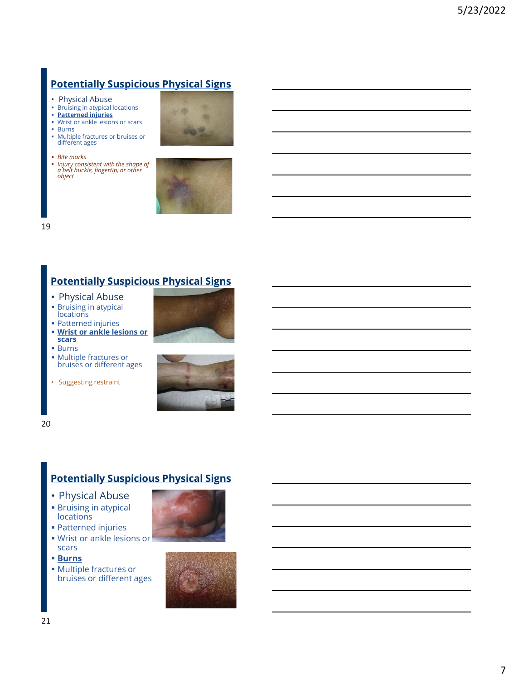#### **Potentially Suspicious Physical Signs**

- Physical Abuse
- Bruising in atypical locations **Patterned injuries**
- Wrist or ankle lesions or scars
- Burns
- Multiple fractures or bruises or different ages
- *Bite marks*
- *Injury consistent with the shape of a belt buckle, fingertip, or other object*





19

#### **Potentially Suspicious Physical Signs**

- Physical Abuse
- **Example 1** Bruising in atypical
- **locations** ■ Patterned injuries
- **Wrist or ankle lesions or scars**
- Burns
- Multiple fractures or bruises or different ages
- Suggesting restraint





20

#### **Potentially Suspicious Physical Signs**

- Physical Abuse
- **Bruising in atypical locations**
- Patterned injuries
- Wrist or ankle lesions or scars
- **Burns**
- Multiple fractures or bruises or different ages

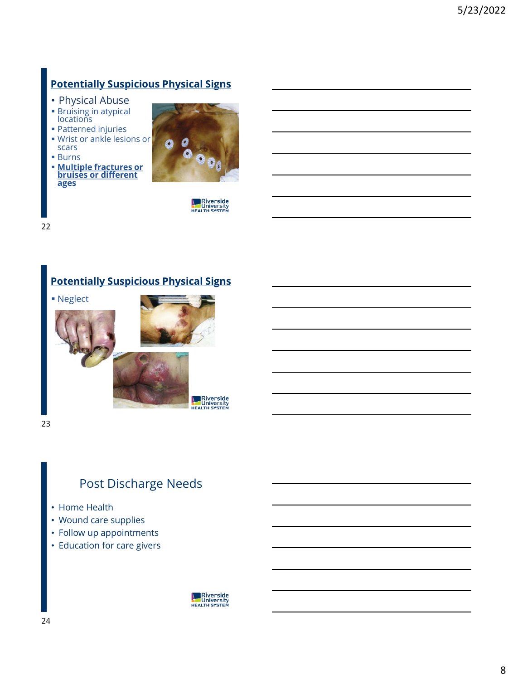#### **Potentially Suspicious Physical Signs**

- Physical Abuse
- **Bruising in atypical locations**
- Patterned injuries
- Wrist or ankle lesions or scars
- Burns
- **Multiple fractures or bruises or different ages**



**New Riverside**<br>University<br>HEALTH SYSTEM

22

#### **Potentially Suspicious Physical Signs**



23

#### Post Discharge Needs

- Home Health
- Wound care supplies
- Follow up appointments
- Education for care givers